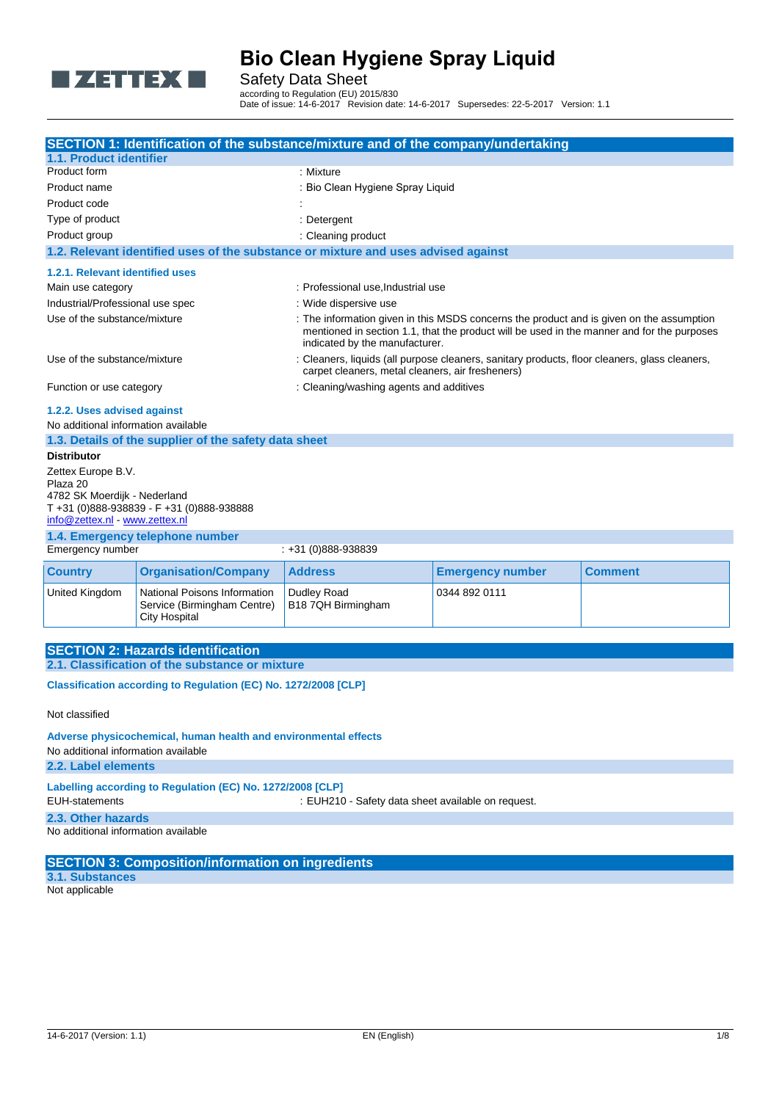

Safety Data Sheet

according to Regulation (EU) 2015/830 Date of issue: 14-6-2017 Revision date: 14-6-2017 Supersedes: 22-5-2017 Version: 1.1

|                                                                                                                                           |                                                                                     | SECTION 1: Identification of the substance/mixture and of the company/undertaking  |                                                                                                                                                                                                                          |                |  |
|-------------------------------------------------------------------------------------------------------------------------------------------|-------------------------------------------------------------------------------------|------------------------------------------------------------------------------------|--------------------------------------------------------------------------------------------------------------------------------------------------------------------------------------------------------------------------|----------------|--|
| 1.1. Product identifier                                                                                                                   |                                                                                     |                                                                                    |                                                                                                                                                                                                                          |                |  |
| Product form                                                                                                                              |                                                                                     | : Mixture                                                                          |                                                                                                                                                                                                                          |                |  |
| Product name                                                                                                                              |                                                                                     |                                                                                    | : Bio Clean Hygiene Spray Liquid                                                                                                                                                                                         |                |  |
| Product code                                                                                                                              |                                                                                     |                                                                                    |                                                                                                                                                                                                                          |                |  |
| Type of product                                                                                                                           |                                                                                     | : Detergent                                                                        |                                                                                                                                                                                                                          |                |  |
| Product group                                                                                                                             |                                                                                     | : Cleaning product                                                                 |                                                                                                                                                                                                                          |                |  |
|                                                                                                                                           |                                                                                     | 1.2. Relevant identified uses of the substance or mixture and uses advised against |                                                                                                                                                                                                                          |                |  |
| 1.2.1. Relevant identified uses                                                                                                           |                                                                                     |                                                                                    |                                                                                                                                                                                                                          |                |  |
| Main use category                                                                                                                         |                                                                                     |                                                                                    | : Professional use, Industrial use                                                                                                                                                                                       |                |  |
| Industrial/Professional use spec                                                                                                          |                                                                                     | : Wide dispersive use                                                              |                                                                                                                                                                                                                          |                |  |
| Use of the substance/mixture                                                                                                              |                                                                                     |                                                                                    | : The information given in this MSDS concerns the product and is given on the assumption<br>mentioned in section 1.1, that the product will be used in the manner and for the purposes<br>indicated by the manufacturer. |                |  |
| Use of the substance/mixture                                                                                                              |                                                                                     | carpet cleaners, metal cleaners, air fresheners)                                   | : Cleaners, liquids (all purpose cleaners, sanitary products, floor cleaners, glass cleaners,                                                                                                                            |                |  |
| Function or use category                                                                                                                  |                                                                                     | : Cleaning/washing agents and additives                                            |                                                                                                                                                                                                                          |                |  |
| 1.2.2. Uses advised against                                                                                                               |                                                                                     |                                                                                    |                                                                                                                                                                                                                          |                |  |
| No additional information available                                                                                                       |                                                                                     |                                                                                    |                                                                                                                                                                                                                          |                |  |
|                                                                                                                                           | 1.3. Details of the supplier of the safety data sheet                               |                                                                                    |                                                                                                                                                                                                                          |                |  |
| <b>Distributor</b>                                                                                                                        |                                                                                     |                                                                                    |                                                                                                                                                                                                                          |                |  |
| Zettex Europe B.V.<br>Plaza 20<br>4782 SK Moerdijk - Nederland<br>info@zettex.nl - www.zettex.nl                                          | T+31 (0)888-938839 - F+31 (0)888-938888                                             |                                                                                    |                                                                                                                                                                                                                          |                |  |
|                                                                                                                                           | 1.4. Emergency telephone number                                                     |                                                                                    |                                                                                                                                                                                                                          |                |  |
| Emergency number                                                                                                                          |                                                                                     | $: +31(0)888 - 938839$                                                             |                                                                                                                                                                                                                          |                |  |
| <b>Country</b>                                                                                                                            | <b>Organisation/Company</b>                                                         | <b>Address</b>                                                                     | <b>Emergency number</b>                                                                                                                                                                                                  | <b>Comment</b> |  |
| United Kingdom                                                                                                                            | National Poisons Information<br>Service (Birmingham Centre)<br><b>City Hospital</b> | Dudley Road<br>B18 7QH Birmingham                                                  | 0344 892 0111                                                                                                                                                                                                            |                |  |
|                                                                                                                                           |                                                                                     |                                                                                    |                                                                                                                                                                                                                          |                |  |
|                                                                                                                                           | <b>SECTION 2: Hazards identification</b>                                            |                                                                                    |                                                                                                                                                                                                                          |                |  |
|                                                                                                                                           | 2.1. Classification of the substance or mixture                                     |                                                                                    |                                                                                                                                                                                                                          |                |  |
| Classification according to Regulation (EC) No. 1272/2008 [CLP]                                                                           |                                                                                     |                                                                                    |                                                                                                                                                                                                                          |                |  |
| Not classified                                                                                                                            |                                                                                     |                                                                                    |                                                                                                                                                                                                                          |                |  |
| Adverse physicochemical, human health and environmental effects<br>No additional information available<br>2.2. Label elements             |                                                                                     |                                                                                    |                                                                                                                                                                                                                          |                |  |
|                                                                                                                                           |                                                                                     |                                                                                    |                                                                                                                                                                                                                          |                |  |
| Labelling according to Regulation (EC) No. 1272/2008 [CLP]<br><b>EUH-statements</b><br>: EUH210 - Safety data sheet available on request. |                                                                                     |                                                                                    |                                                                                                                                                                                                                          |                |  |
| 2.3. Other hazards                                                                                                                        |                                                                                     |                                                                                    |                                                                                                                                                                                                                          |                |  |
| No additional information available                                                                                                       |                                                                                     |                                                                                    |                                                                                                                                                                                                                          |                |  |
|                                                                                                                                           | <b>SECTION 3: Composition/information on ingredients</b>                            |                                                                                    |                                                                                                                                                                                                                          |                |  |
| 3.1. Substances                                                                                                                           |                                                                                     |                                                                                    |                                                                                                                                                                                                                          |                |  |

Not applicable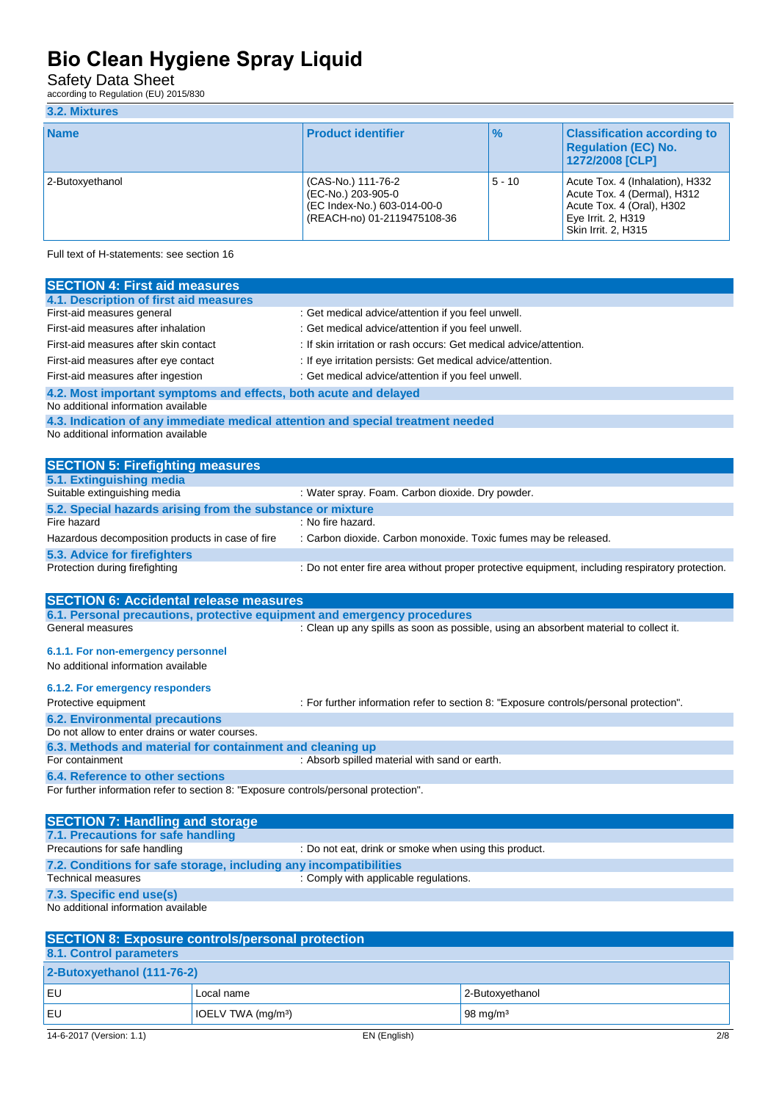Safety Data Sheet

according to Regulation (EU) 2015/830

### **3.2. Mixtures**

| <b>Name</b>     | <b>Product identifier</b>                                                                              | $\frac{9}{6}$ | <b>Classification according to</b><br><b>Regulation (EC) No.</b><br>1272/2008 [CLP]                                                             |
|-----------------|--------------------------------------------------------------------------------------------------------|---------------|-------------------------------------------------------------------------------------------------------------------------------------------------|
| 2-Butoxvethanol | (CAS-No.) 111-76-2<br>(EC-No.) 203-905-0<br>(EC Index-No.) 603-014-00-0<br>(REACH-no) 01-2119475108-36 | $5 - 10$      | Acute Tox. 4 (Inhalation), H332<br>Acute Tox. 4 (Dermal), H312<br>Acute Tox. 4 (Oral), H302<br>Eye Irrit. 2, H319<br><b>Skin Irrit. 2. H315</b> |

Full text of H-statements: see section 16

| <b>SECTION 4: First aid measures</b>                                                                                   |                                                                                                 |
|------------------------------------------------------------------------------------------------------------------------|-------------------------------------------------------------------------------------------------|
| 4.1. Description of first aid measures<br>First-aid measures general                                                   | : Get medical advice/attention if you feel unwell.                                              |
|                                                                                                                        |                                                                                                 |
| First-aid measures after inhalation                                                                                    | : Get medical advice/attention if you feel unwell.                                              |
| First-aid measures after skin contact                                                                                  | : If skin irritation or rash occurs: Get medical advice/attention.                              |
| First-aid measures after eye contact                                                                                   | : If eye irritation persists: Get medical advice/attention.                                     |
| First-aid measures after ingestion                                                                                     | : Get medical advice/attention if you feel unwell.                                              |
| 4.2. Most important symptoms and effects, both acute and delayed<br>No additional information available                |                                                                                                 |
| 4.3. Indication of any immediate medical attention and special treatment needed<br>No additional information available |                                                                                                 |
| <b>SECTION 5: Firefighting measures</b>                                                                                |                                                                                                 |
| 5.1. Extinguishing media                                                                                               |                                                                                                 |
| Suitable extinguishing media                                                                                           | : Water spray. Foam. Carbon dioxide. Dry powder.                                                |
| 5.2. Special hazards arising from the substance or mixture                                                             |                                                                                                 |
| Fire hazard                                                                                                            | : No fire hazard.                                                                               |
| Hazardous decomposition products in case of fire                                                                       | : Carbon dioxide. Carbon monoxide. Toxic fumes may be released.                                 |
| 5.3. Advice for firefighters                                                                                           |                                                                                                 |
| Protection during firefighting                                                                                         | : Do not enter fire area without proper protective equipment, including respiratory protection. |
| <b>SECTION 6: Accidental release measures</b>                                                                          |                                                                                                 |
| 6.1. Personal precautions, protective equipment and emergency procedures                                               |                                                                                                 |
| General measures                                                                                                       | : Clean up any spills as soon as possible, using an absorbent material to collect it.           |
| 6.1.1. For non-emergency personnel                                                                                     |                                                                                                 |
| No additional information available                                                                                    |                                                                                                 |
| 6.1.2. For emergency responders                                                                                        |                                                                                                 |
| Protective equipment                                                                                                   | : For further information refer to section 8: "Exposure controls/personal protection".          |
| <b>6.2. Environmental precautions</b>                                                                                  |                                                                                                 |
| Do not allow to enter drains or water courses.                                                                         |                                                                                                 |
| 6.3. Methods and material for containment and cleaning up                                                              |                                                                                                 |
| For containment                                                                                                        | : Absorb spilled material with sand or earth.                                                   |
| 6.4. Reference to other sections                                                                                       |                                                                                                 |
| For further information refer to section 8: "Exposure controls/personal protection".                                   |                                                                                                 |
| <b>SECTION 7: Handling and storage</b>                                                                                 |                                                                                                 |
| 7.1. Precautions for safe handling<br>Precautions for safe handling                                                    | : Do not eat, drink or smoke when using this product                                            |
| 7.2. Conditions for safe storage, including any incompatibilities                                                      |                                                                                                 |
| <b>Technical measures</b>                                                                                              | : Comply with applicable regulations.                                                           |
| 7.3. Specific end use(s)                                                                                               |                                                                                                 |
| No additional information available                                                                                    |                                                                                                 |
| <b>SECTION 8: Exposure controls/personal protection</b>                                                                |                                                                                                 |
| 8.1. Control parameters                                                                                                |                                                                                                 |

| 2-Butoxyethanol (111-76-2) |                                |                               |
|----------------------------|--------------------------------|-------------------------------|
| EU                         | Local name                     | 2-Butoxyethanol               |
| EU                         | IOELV TWA (mg/m <sup>3</sup> ) | $\sqrt{98}$ mg/m <sup>3</sup> |
| 14-6-2017 (Version: 1.1)   | EN (English)                   | 2/8                           |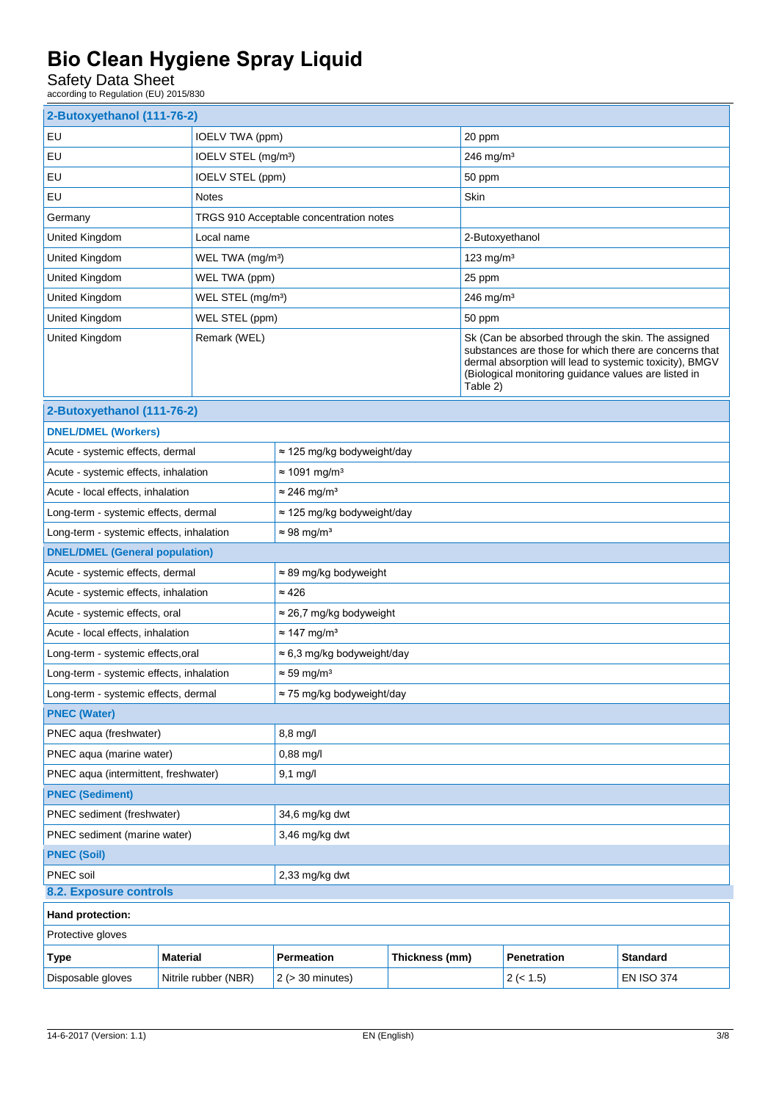Safety Data Sheet

according to Regulation (EU) 2015/830

| 2-Butoxyethanol (111-76-2)               |                 |                                    |                                         |                |                                                                                                                                                                                                                                             |                   |
|------------------------------------------|-----------------|------------------------------------|-----------------------------------------|----------------|---------------------------------------------------------------------------------------------------------------------------------------------------------------------------------------------------------------------------------------------|-------------------|
| EU                                       |                 | IOELV TWA (ppm)                    |                                         | 20 ppm         |                                                                                                                                                                                                                                             |                   |
| EU<br>IOELV STEL (mg/m <sup>3</sup> )    |                 |                                    | 246 mg/m <sup>3</sup>                   |                |                                                                                                                                                                                                                                             |                   |
| IOELV STEL (ppm)<br>EU                   |                 |                                    | 50 ppm                                  |                |                                                                                                                                                                                                                                             |                   |
| EU                                       |                 | <b>Notes</b>                       |                                         | Skin           |                                                                                                                                                                                                                                             |                   |
| Germany                                  |                 |                                    | TRGS 910 Acceptable concentration notes |                |                                                                                                                                                                                                                                             |                   |
| United Kingdom                           |                 | Local name                         |                                         |                | 2-Butoxyethanol                                                                                                                                                                                                                             |                   |
| United Kingdom                           |                 | WEL TWA (mg/m <sup>3</sup> )       |                                         |                | 123 $mg/m3$                                                                                                                                                                                                                                 |                   |
| United Kingdom                           |                 | WEL TWA (ppm)                      |                                         |                | 25 ppm                                                                                                                                                                                                                                      |                   |
| United Kingdom                           |                 | WEL STEL (mg/m <sup>3</sup> )      |                                         |                | $246$ mg/m <sup>3</sup>                                                                                                                                                                                                                     |                   |
| United Kingdom                           |                 | WEL STEL (ppm)                     |                                         | 50 ppm         |                                                                                                                                                                                                                                             |                   |
| United Kingdom                           |                 | Remark (WEL)                       |                                         |                | Sk (Can be absorbed through the skin. The assigned<br>substances are those for which there are concerns that<br>dermal absorption will lead to systemic toxicity), BMGV<br>(Biological monitoring guidance values are listed in<br>Table 2) |                   |
| 2-Butoxyethanol (111-76-2)               |                 |                                    |                                         |                |                                                                                                                                                                                                                                             |                   |
| <b>DNEL/DMEL (Workers)</b>               |                 |                                    |                                         |                |                                                                                                                                                                                                                                             |                   |
| Acute - systemic effects, dermal         |                 |                                    | $\approx$ 125 mg/kg bodyweight/day      |                |                                                                                                                                                                                                                                             |                   |
| Acute - systemic effects, inhalation     |                 |                                    | $\approx$ 1091 mg/m <sup>3</sup>        |                |                                                                                                                                                                                                                                             |                   |
| Acute - local effects, inhalation        |                 |                                    | $\approx$ 246 mg/m <sup>3</sup>         |                |                                                                                                                                                                                                                                             |                   |
| Long-term - systemic effects, dermal     |                 |                                    | ≈ 125 mg/kg bodyweight/day              |                |                                                                                                                                                                                                                                             |                   |
| Long-term - systemic effects, inhalation |                 |                                    | $\approx$ 98 mg/m <sup>3</sup>          |                |                                                                                                                                                                                                                                             |                   |
| <b>DNEL/DMEL (General population)</b>    |                 |                                    |                                         |                |                                                                                                                                                                                                                                             |                   |
| Acute - systemic effects, dermal         |                 | $\approx$ 89 mg/kg bodyweight      |                                         |                |                                                                                                                                                                                                                                             |                   |
| Acute - systemic effects, inhalation     |                 | $\approx 426$                      |                                         |                |                                                                                                                                                                                                                                             |                   |
| Acute - systemic effects, oral           |                 | $\approx$ 26,7 mg/kg bodyweight    |                                         |                |                                                                                                                                                                                                                                             |                   |
| Acute - local effects, inhalation        |                 | $\approx$ 147 mg/m <sup>3</sup>    |                                         |                |                                                                                                                                                                                                                                             |                   |
| Long-term - systemic effects, oral       |                 | $\approx$ 6,3 mg/kg bodyweight/day |                                         |                |                                                                                                                                                                                                                                             |                   |
| Long-term - systemic effects, inhalation |                 | $\approx$ 59 mg/m <sup>3</sup>     |                                         |                |                                                                                                                                                                                                                                             |                   |
| Long-term - systemic effects, dermal     |                 |                                    | ≈ 75 mg/kg bodyweight/day               |                |                                                                                                                                                                                                                                             |                   |
| <b>PNEC (Water)</b>                      |                 |                                    |                                         |                |                                                                                                                                                                                                                                             |                   |
| PNEC aqua (freshwater)                   |                 |                                    | 8,8 mg/l                                |                |                                                                                                                                                                                                                                             |                   |
| PNEC aqua (marine water)                 |                 |                                    | 0,88 mg/l                               |                |                                                                                                                                                                                                                                             |                   |
| PNEC aqua (intermittent, freshwater)     |                 | $9,1$ mg/l                         |                                         |                |                                                                                                                                                                                                                                             |                   |
| <b>PNEC (Sediment)</b>                   |                 |                                    |                                         |                |                                                                                                                                                                                                                                             |                   |
| PNEC sediment (freshwater)               |                 | 34,6 mg/kg dwt                     |                                         |                |                                                                                                                                                                                                                                             |                   |
| PNEC sediment (marine water)             |                 | 3,46 mg/kg dwt                     |                                         |                |                                                                                                                                                                                                                                             |                   |
| <b>PNEC (Soil)</b>                       |                 |                                    |                                         |                |                                                                                                                                                                                                                                             |                   |
| PNEC soil                                |                 | 2,33 mg/kg dwt                     |                                         |                |                                                                                                                                                                                                                                             |                   |
| 8.2. Exposure controls                   |                 |                                    |                                         |                |                                                                                                                                                                                                                                             |                   |
| Hand protection:                         |                 |                                    |                                         |                |                                                                                                                                                                                                                                             |                   |
| Protective gloves                        |                 |                                    |                                         |                |                                                                                                                                                                                                                                             |                   |
| <b>Type</b>                              | <b>Material</b> |                                    | Permeation                              | Thickness (mm) | <b>Penetration</b>                                                                                                                                                                                                                          | <b>Standard</b>   |
| Disposable gloves                        |                 | Nitrile rubber (NBR)               | $2$ ( $>$ 30 minutes)                   |                | 2 (< 1.5)                                                                                                                                                                                                                                   | <b>EN ISO 374</b> |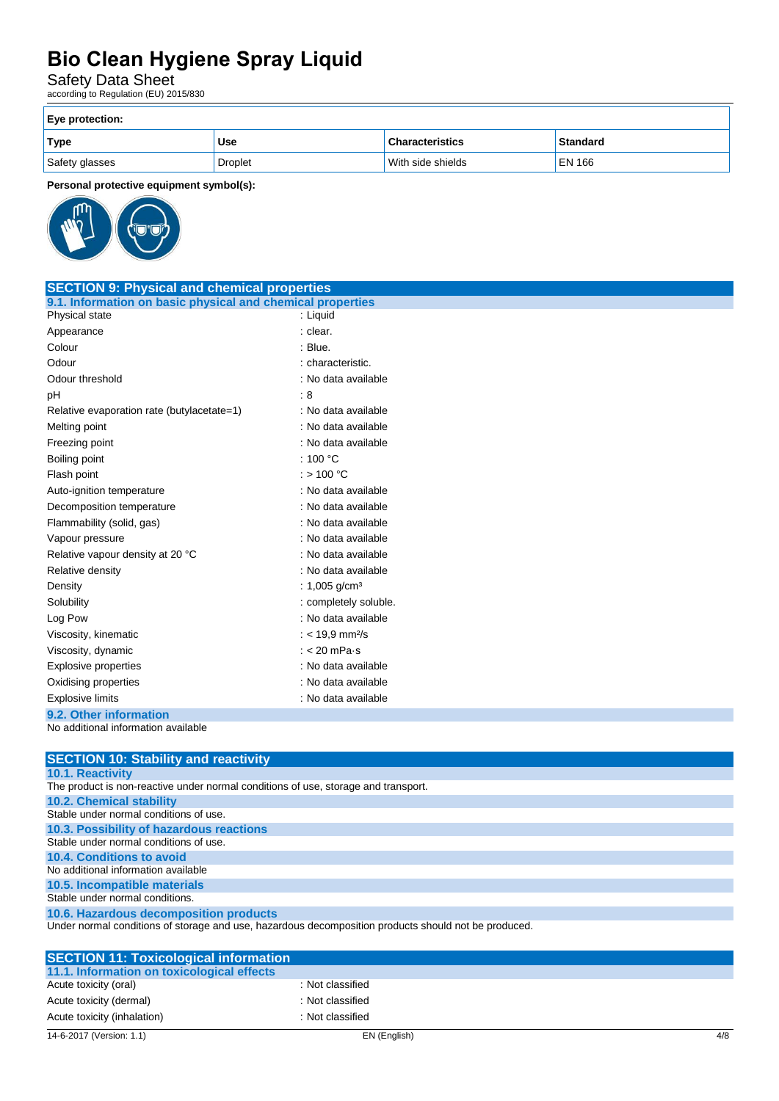Safety Data Sheet

according to Regulation (EU) 2015/830

| Eye protection: |            |                        |                 |  |
|-----------------|------------|------------------------|-----------------|--|
| Type            | <b>Use</b> | <b>Characteristics</b> | <b>Standard</b> |  |
| Safety glasses  | Droplet    | With side shields      | EN 166          |  |

**Personal protective equipment symbol(s):**



| <b>SECTION 9: Physical and chemical properties</b>         |                             |  |
|------------------------------------------------------------|-----------------------------|--|
| 9.1. Information on basic physical and chemical properties |                             |  |
| Physical state                                             | : Liquid                    |  |
| Appearance                                                 | : clear.                    |  |
| Colour                                                     | : Blue.                     |  |
| Odour                                                      | : characteristic.           |  |
| Odour threshold                                            | : No data available         |  |
| pH                                                         | :8                          |  |
| Relative evaporation rate (butylacetate=1)                 | : No data available         |  |
| Melting point                                              | : No data available         |  |
| Freezing point                                             | : No data available         |  |
| Boiling point                                              | : $100 °C$                  |  |
| Flash point                                                | : $> 100 °C$                |  |
| Auto-ignition temperature                                  | : No data available         |  |
| Decomposition temperature                                  | : No data available         |  |
| Flammability (solid, gas)                                  | : No data available         |  |
| Vapour pressure                                            | : No data available         |  |
| Relative vapour density at 20 °C                           | : No data available         |  |
| Relative density                                           | : No data available         |  |
| Density                                                    | : 1,005 g/cm <sup>3</sup>   |  |
| Solubility                                                 | : completely soluble.       |  |
| Log Pow                                                    | : No data available         |  |
| Viscosity, kinematic                                       | : < 19.9 mm <sup>2</sup> /s |  |
| Viscosity, dynamic                                         | $: < 20$ mPa s              |  |
| Explosive properties                                       | : No data available         |  |
| Oxidising properties                                       | : No data available         |  |
| <b>Explosive limits</b>                                    | : No data available         |  |
| 9.2. Other information                                     |                             |  |
| No additional information available                        |                             |  |

| <b>SECTION 10: Stability and reactivity</b>                                                          |
|------------------------------------------------------------------------------------------------------|
| <b>10.1. Reactivity</b>                                                                              |
| The product is non-reactive under normal conditions of use, storage and transport.                   |
| <b>10.2. Chemical stability</b>                                                                      |
| Stable under normal conditions of use.                                                               |
| 10.3. Possibility of hazardous reactions                                                             |
| Stable under normal conditions of use.                                                               |
| 10.4. Conditions to avoid                                                                            |
| No additional information available                                                                  |
| 10.5. Incompatible materials                                                                         |
| Stable under normal conditions.                                                                      |
| 10.6. Hazardous decomposition products                                                               |
| Under normal conditions of storage and use, hazardous decomposition products should not be produced. |
|                                                                                                      |
| <b>SECTION 11: Toxicological information</b>                                                         |
| 11.1 Information on toxicological effects                                                            |

| <u>ULUTTURI TERMUURUUGI IIIIUI IIIGIIUI</u> |                  |
|---------------------------------------------|------------------|
| 11.1. Information on toxicological effects  |                  |
| Acute toxicity (oral)                       | : Not classified |
| Acute toxicity (dermal)                     | : Not classified |
| Acute toxicity (inhalation)                 | : Not classified |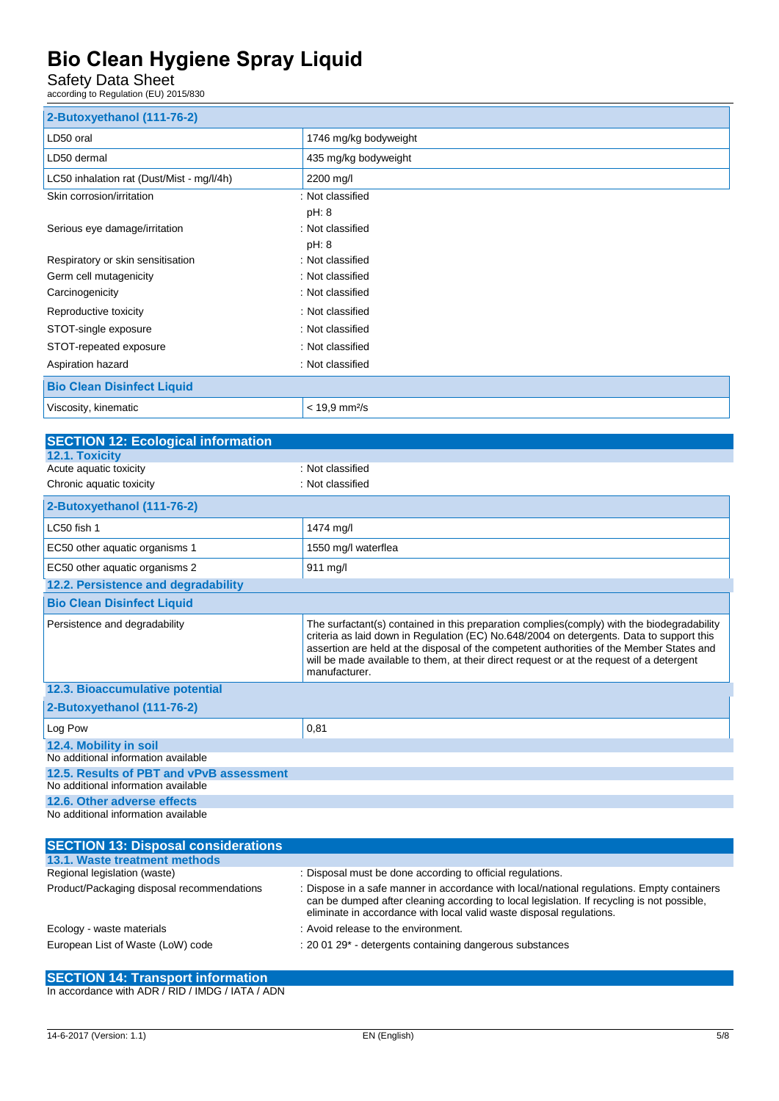Safety Data Sheet

according to Regulation (EU) 2015/830

| 2-Butoxyethanol (111-76-2)                |                             |
|-------------------------------------------|-----------------------------|
| LD50 oral                                 | 1746 mg/kg bodyweight       |
| LD50 dermal                               | 435 mg/kg bodyweight        |
| LC50 inhalation rat (Dust/Mist - mg/l/4h) | 2200 mg/l                   |
| Skin corrosion/irritation                 | : Not classified            |
|                                           | pH: 8                       |
| Serious eye damage/irritation             | : Not classified            |
|                                           | pH: 8                       |
| Respiratory or skin sensitisation         | : Not classified            |
| Germ cell mutagenicity                    | : Not classified            |
| Carcinogenicity                           | : Not classified            |
| Reproductive toxicity                     | : Not classified            |
| STOT-single exposure                      | : Not classified            |
| STOT-repeated exposure                    | : Not classified            |
| Aspiration hazard                         | : Not classified            |
| <b>Bio Clean Disinfect Liquid</b>         |                             |
| Viscosity, kinematic                      | $< 19.9$ mm <sup>2</sup> /s |

| <b>SECTION 12: Ecological information</b>  |                                                                                                                                                                                                                                                                                                                                                                                                  |  |
|--------------------------------------------|--------------------------------------------------------------------------------------------------------------------------------------------------------------------------------------------------------------------------------------------------------------------------------------------------------------------------------------------------------------------------------------------------|--|
| 12.1. Toxicity                             |                                                                                                                                                                                                                                                                                                                                                                                                  |  |
| Acute aquatic toxicity                     | : Not classified                                                                                                                                                                                                                                                                                                                                                                                 |  |
| Chronic aquatic toxicity                   | : Not classified                                                                                                                                                                                                                                                                                                                                                                                 |  |
| 2-Butoxyethanol (111-76-2)                 |                                                                                                                                                                                                                                                                                                                                                                                                  |  |
| LC50 fish 1                                | 1474 mg/l                                                                                                                                                                                                                                                                                                                                                                                        |  |
| EC50 other aquatic organisms 1             | 1550 mg/l waterflea                                                                                                                                                                                                                                                                                                                                                                              |  |
| EC50 other aquatic organisms 2             | 911 mg/l                                                                                                                                                                                                                                                                                                                                                                                         |  |
| 12.2. Persistence and degradability        |                                                                                                                                                                                                                                                                                                                                                                                                  |  |
| <b>Bio Clean Disinfect Liquid</b>          |                                                                                                                                                                                                                                                                                                                                                                                                  |  |
| Persistence and degradability              | The surfactant(s) contained in this preparation complies (comply) with the biodegradability<br>criteria as laid down in Regulation (EC) No.648/2004 on detergents. Data to support this<br>assertion are held at the disposal of the competent authorities of the Member States and<br>will be made available to them, at their direct request or at the request of a detergent<br>manufacturer. |  |
| 12.3. Bioaccumulative potential            |                                                                                                                                                                                                                                                                                                                                                                                                  |  |
| 2-Butoxyethanol (111-76-2)                 |                                                                                                                                                                                                                                                                                                                                                                                                  |  |
| Log Pow                                    | 0,81                                                                                                                                                                                                                                                                                                                                                                                             |  |
| 12.4. Mobility in soil                     |                                                                                                                                                                                                                                                                                                                                                                                                  |  |
| No additional information available        |                                                                                                                                                                                                                                                                                                                                                                                                  |  |
| 12.5. Results of PBT and vPvB assessment   |                                                                                                                                                                                                                                                                                                                                                                                                  |  |
| No additional information available        |                                                                                                                                                                                                                                                                                                                                                                                                  |  |
| 12.6. Other adverse effects                |                                                                                                                                                                                                                                                                                                                                                                                                  |  |
| No additional information available        |                                                                                                                                                                                                                                                                                                                                                                                                  |  |
| <b>CECTION 49. Dianogal considerations</b> |                                                                                                                                                                                                                                                                                                                                                                                                  |  |

| <b>SECTION 13: Disposal considerations</b> |                                                                                                                                                                                                                                                                  |
|--------------------------------------------|------------------------------------------------------------------------------------------------------------------------------------------------------------------------------------------------------------------------------------------------------------------|
| 13.1. Waste treatment methods              |                                                                                                                                                                                                                                                                  |
| Regional legislation (waste)               | : Disposal must be done according to official regulations.                                                                                                                                                                                                       |
| Product/Packaging disposal recommendations | : Dispose in a safe manner in accordance with local/national regulations. Empty containers<br>can be dumped after cleaning according to local legislation. If recycling is not possible,<br>eliminate in accordance with local valid waste disposal regulations. |
| Ecology - waste materials                  | : Avoid release to the environment.                                                                                                                                                                                                                              |
| European List of Waste (LoW) code          | : 20 01 29* - detergents containing dangerous substances                                                                                                                                                                                                         |

#### **SECTION 14: Transport information**

In accordance with ADR / RID / IMDG / IATA / ADN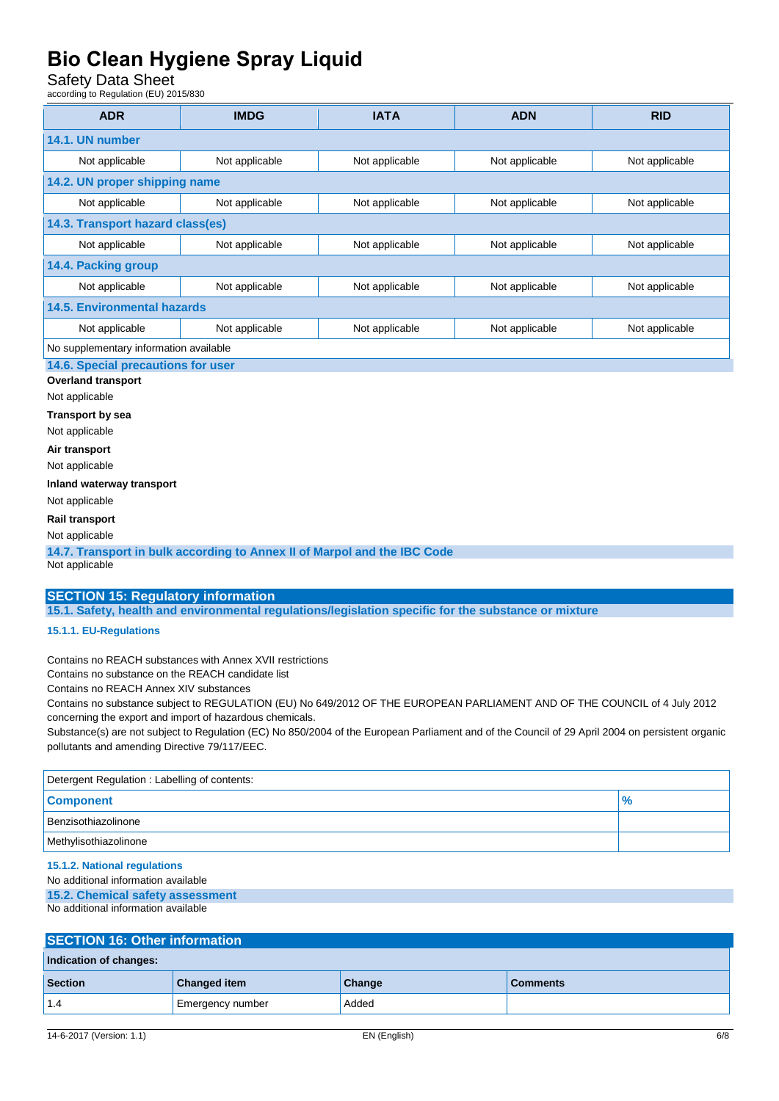Safety Data Sheet

according to Regulation (EU) 2015/830

| <b>ADR</b>                                                                                                                                        | <b>IMDG</b>                      | <b>IATA</b>    | <b>ADN</b>     | <b>RID</b>     |  |
|---------------------------------------------------------------------------------------------------------------------------------------------------|----------------------------------|----------------|----------------|----------------|--|
| 14.1. UN number                                                                                                                                   |                                  |                |                |                |  |
| Not applicable                                                                                                                                    | Not applicable                   | Not applicable | Not applicable | Not applicable |  |
| 14.2. UN proper shipping name                                                                                                                     |                                  |                |                |                |  |
| Not applicable                                                                                                                                    | Not applicable                   | Not applicable | Not applicable | Not applicable |  |
|                                                                                                                                                   | 14.3. Transport hazard class(es) |                |                |                |  |
| Not applicable                                                                                                                                    | Not applicable                   | Not applicable | Not applicable | Not applicable |  |
| 14.4. Packing group                                                                                                                               |                                  |                |                |                |  |
| Not applicable                                                                                                                                    | Not applicable                   | Not applicable | Not applicable | Not applicable |  |
| <b>14.5. Environmental hazards</b>                                                                                                                |                                  |                |                |                |  |
| Not applicable                                                                                                                                    | Not applicable                   | Not applicable | Not applicable | Not applicable |  |
| No supplementary information available                                                                                                            |                                  |                |                |                |  |
| 14.6. Special precautions for user                                                                                                                |                                  |                |                |                |  |
| <b>Overland transport</b>                                                                                                                         |                                  |                |                |                |  |
| Not applicable<br><b>Transport by sea</b>                                                                                                         |                                  |                |                |                |  |
| Not applicable                                                                                                                                    |                                  |                |                |                |  |
| Air transport                                                                                                                                     |                                  |                |                |                |  |
| Not applicable                                                                                                                                    |                                  |                |                |                |  |
| Inland waterway transport                                                                                                                         |                                  |                |                |                |  |
| Not applicable                                                                                                                                    |                                  |                |                |                |  |
| Rail transport                                                                                                                                    |                                  |                |                |                |  |
| Not applicable                                                                                                                                    |                                  |                |                |                |  |
| 14.7. Transport in bulk according to Annex II of Marpol and the IBC Code<br>Not applicable                                                        |                                  |                |                |                |  |
|                                                                                                                                                   |                                  |                |                |                |  |
| <b>SECTION 15: Regulatory information</b><br>15.1. Safety, health and environmental regulations/legislation specific for the substance or mixture |                                  |                |                |                |  |
| 15.1.1. EU-Regulations                                                                                                                            |                                  |                |                |                |  |

Contains no REACH substances with Annex XVII restrictions

Contains no substance on the REACH candidate list

Contains no REACH Annex XIV substances

Contains no substance subject to REGULATION (EU) No 649/2012 OF THE EUROPEAN PARLIAMENT AND OF THE COUNCIL of 4 July 2012 concerning the export and import of hazardous chemicals.

Substance(s) are not subject to Regulation (EC) No 850/2004 of the European Parliament and of the Council of 29 April 2004 on persistent organic pollutants and amending Directive 79/117/EEC.

| Detergent Regulation: Labelling of contents: |      |  |  |  |
|----------------------------------------------|------|--|--|--|
| <b>Component</b>                             | $\%$ |  |  |  |
| Benzisothiazolinone                          |      |  |  |  |
| Methylisothiazolinone                        |      |  |  |  |

**15.1.2. National regulations** 

No additional information available

**15.2. Chemical safety assessment** No additional information available

| <b>SECTION 16: Other information</b> |                     |        |                 |  |  |  |
|--------------------------------------|---------------------|--------|-----------------|--|--|--|
| Indication of changes:               |                     |        |                 |  |  |  |
| <b>Section</b>                       | <b>Changed item</b> | Change | <b>Comments</b> |  |  |  |
| 1.4                                  | Emergency number    | Added  |                 |  |  |  |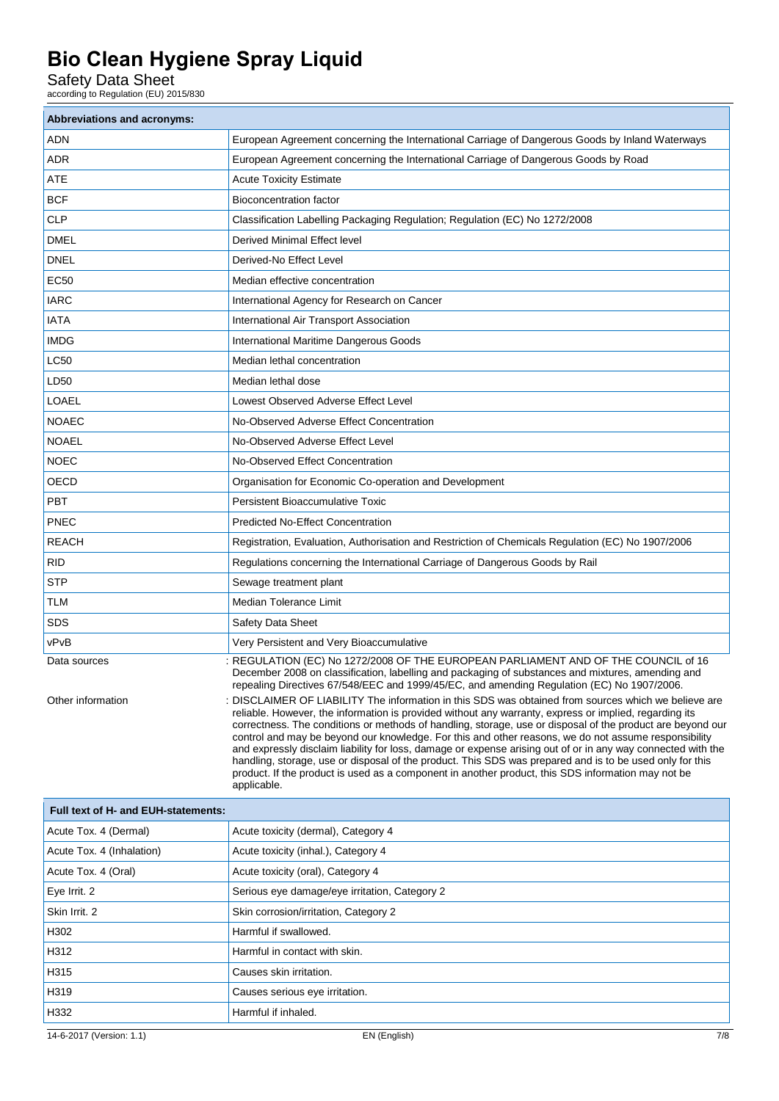Safety Data Sheet

according to Regulation (EU) 2015/830

| <b>Abbreviations and acronyms:</b>  |                                                                                                                                                                                                                                                                                                                                                                                                                                                                                                                                                                                                                                                                                                                                                                                                                                                                                                                                                                                                                                                                              |  |
|-------------------------------------|------------------------------------------------------------------------------------------------------------------------------------------------------------------------------------------------------------------------------------------------------------------------------------------------------------------------------------------------------------------------------------------------------------------------------------------------------------------------------------------------------------------------------------------------------------------------------------------------------------------------------------------------------------------------------------------------------------------------------------------------------------------------------------------------------------------------------------------------------------------------------------------------------------------------------------------------------------------------------------------------------------------------------------------------------------------------------|--|
| ADN                                 | European Agreement concerning the International Carriage of Dangerous Goods by Inland Waterways                                                                                                                                                                                                                                                                                                                                                                                                                                                                                                                                                                                                                                                                                                                                                                                                                                                                                                                                                                              |  |
| ADR                                 | European Agreement concerning the International Carriage of Dangerous Goods by Road                                                                                                                                                                                                                                                                                                                                                                                                                                                                                                                                                                                                                                                                                                                                                                                                                                                                                                                                                                                          |  |
| <b>ATE</b>                          | <b>Acute Toxicity Estimate</b>                                                                                                                                                                                                                                                                                                                                                                                                                                                                                                                                                                                                                                                                                                                                                                                                                                                                                                                                                                                                                                               |  |
| <b>BCF</b>                          | <b>Bioconcentration factor</b>                                                                                                                                                                                                                                                                                                                                                                                                                                                                                                                                                                                                                                                                                                                                                                                                                                                                                                                                                                                                                                               |  |
| <b>CLP</b>                          | Classification Labelling Packaging Regulation; Regulation (EC) No 1272/2008                                                                                                                                                                                                                                                                                                                                                                                                                                                                                                                                                                                                                                                                                                                                                                                                                                                                                                                                                                                                  |  |
| <b>DMEL</b>                         | Derived Minimal Effect level                                                                                                                                                                                                                                                                                                                                                                                                                                                                                                                                                                                                                                                                                                                                                                                                                                                                                                                                                                                                                                                 |  |
| <b>DNEL</b>                         | Derived-No Effect Level                                                                                                                                                                                                                                                                                                                                                                                                                                                                                                                                                                                                                                                                                                                                                                                                                                                                                                                                                                                                                                                      |  |
| EC50                                | Median effective concentration                                                                                                                                                                                                                                                                                                                                                                                                                                                                                                                                                                                                                                                                                                                                                                                                                                                                                                                                                                                                                                               |  |
| <b>IARC</b>                         | International Agency for Research on Cancer                                                                                                                                                                                                                                                                                                                                                                                                                                                                                                                                                                                                                                                                                                                                                                                                                                                                                                                                                                                                                                  |  |
| <b>IATA</b>                         | International Air Transport Association                                                                                                                                                                                                                                                                                                                                                                                                                                                                                                                                                                                                                                                                                                                                                                                                                                                                                                                                                                                                                                      |  |
| <b>IMDG</b>                         | International Maritime Dangerous Goods                                                                                                                                                                                                                                                                                                                                                                                                                                                                                                                                                                                                                                                                                                                                                                                                                                                                                                                                                                                                                                       |  |
| LC50                                | Median lethal concentration                                                                                                                                                                                                                                                                                                                                                                                                                                                                                                                                                                                                                                                                                                                                                                                                                                                                                                                                                                                                                                                  |  |
| LD50                                | Median lethal dose                                                                                                                                                                                                                                                                                                                                                                                                                                                                                                                                                                                                                                                                                                                                                                                                                                                                                                                                                                                                                                                           |  |
| <b>LOAEL</b>                        | Lowest Observed Adverse Effect Level                                                                                                                                                                                                                                                                                                                                                                                                                                                                                                                                                                                                                                                                                                                                                                                                                                                                                                                                                                                                                                         |  |
| <b>NOAEC</b>                        | No-Observed Adverse Effect Concentration                                                                                                                                                                                                                                                                                                                                                                                                                                                                                                                                                                                                                                                                                                                                                                                                                                                                                                                                                                                                                                     |  |
| <b>NOAEL</b>                        | No-Observed Adverse Effect Level                                                                                                                                                                                                                                                                                                                                                                                                                                                                                                                                                                                                                                                                                                                                                                                                                                                                                                                                                                                                                                             |  |
| <b>NOEC</b>                         | No-Observed Effect Concentration                                                                                                                                                                                                                                                                                                                                                                                                                                                                                                                                                                                                                                                                                                                                                                                                                                                                                                                                                                                                                                             |  |
| OECD                                | Organisation for Economic Co-operation and Development                                                                                                                                                                                                                                                                                                                                                                                                                                                                                                                                                                                                                                                                                                                                                                                                                                                                                                                                                                                                                       |  |
| PBT                                 | <b>Persistent Bioaccumulative Toxic</b>                                                                                                                                                                                                                                                                                                                                                                                                                                                                                                                                                                                                                                                                                                                                                                                                                                                                                                                                                                                                                                      |  |
| <b>PNEC</b>                         | <b>Predicted No-Effect Concentration</b>                                                                                                                                                                                                                                                                                                                                                                                                                                                                                                                                                                                                                                                                                                                                                                                                                                                                                                                                                                                                                                     |  |
| <b>REACH</b>                        | Registration, Evaluation, Authorisation and Restriction of Chemicals Regulation (EC) No 1907/2006                                                                                                                                                                                                                                                                                                                                                                                                                                                                                                                                                                                                                                                                                                                                                                                                                                                                                                                                                                            |  |
| RID                                 | Regulations concerning the International Carriage of Dangerous Goods by Rail                                                                                                                                                                                                                                                                                                                                                                                                                                                                                                                                                                                                                                                                                                                                                                                                                                                                                                                                                                                                 |  |
| <b>STP</b>                          | Sewage treatment plant                                                                                                                                                                                                                                                                                                                                                                                                                                                                                                                                                                                                                                                                                                                                                                                                                                                                                                                                                                                                                                                       |  |
| <b>TLM</b>                          | Median Tolerance Limit                                                                                                                                                                                                                                                                                                                                                                                                                                                                                                                                                                                                                                                                                                                                                                                                                                                                                                                                                                                                                                                       |  |
| SDS                                 | Safety Data Sheet                                                                                                                                                                                                                                                                                                                                                                                                                                                                                                                                                                                                                                                                                                                                                                                                                                                                                                                                                                                                                                                            |  |
| vPvB                                | Very Persistent and Very Bioaccumulative                                                                                                                                                                                                                                                                                                                                                                                                                                                                                                                                                                                                                                                                                                                                                                                                                                                                                                                                                                                                                                     |  |
| Data sources<br>Other information   | : REGULATION (EC) No 1272/2008 OF THE EUROPEAN PARLIAMENT AND OF THE COUNCIL of 16<br>December 2008 on classification, labelling and packaging of substances and mixtures, amending and<br>repealing Directives 67/548/EEC and 1999/45/EC, and amending Regulation (EC) No 1907/2006.<br>DISCLAIMER OF LIABILITY The information in this SDS was obtained from sources which we believe are<br>reliable. However, the information is provided without any warranty, express or implied, regarding its<br>correctness. The conditions or methods of handling, storage, use or disposal of the product are beyond our<br>control and may be beyond our knowledge. For this and other reasons, we do not assume responsibility<br>and expressly disclaim liability for loss, damage or expense arising out of or in any way connected with the<br>handling, storage, use or disposal of the product. This SDS was prepared and is to be used only for this<br>product. If the product is used as a component in another product, this SDS information may not be<br>applicable. |  |
| Full text of H- and EUH-statements: |                                                                                                                                                                                                                                                                                                                                                                                                                                                                                                                                                                                                                                                                                                                                                                                                                                                                                                                                                                                                                                                                              |  |
| Acute Tox. 4 (Dermal)               | Acute toxicity (dermal), Category 4                                                                                                                                                                                                                                                                                                                                                                                                                                                                                                                                                                                                                                                                                                                                                                                                                                                                                                                                                                                                                                          |  |
| Acute Tox. 4 (Inhalation)           | Acute toxicity (inhal.), Category 4                                                                                                                                                                                                                                                                                                                                                                                                                                                                                                                                                                                                                                                                                                                                                                                                                                                                                                                                                                                                                                          |  |
| Acute Tox. 4 (Oral)                 | Acute toxicity (oral), Category 4                                                                                                                                                                                                                                                                                                                                                                                                                                                                                                                                                                                                                                                                                                                                                                                                                                                                                                                                                                                                                                            |  |
| Eye Irrit. 2                        | Serious eye damage/eye irritation, Category 2                                                                                                                                                                                                                                                                                                                                                                                                                                                                                                                                                                                                                                                                                                                                                                                                                                                                                                                                                                                                                                |  |
| Skin Irrit. 2                       | Skin corrosion/irritation, Category 2                                                                                                                                                                                                                                                                                                                                                                                                                                                                                                                                                                                                                                                                                                                                                                                                                                                                                                                                                                                                                                        |  |
| H302                                | Harmful if swallowed.                                                                                                                                                                                                                                                                                                                                                                                                                                                                                                                                                                                                                                                                                                                                                                                                                                                                                                                                                                                                                                                        |  |
| H312                                | Harmful in contact with skin.                                                                                                                                                                                                                                                                                                                                                                                                                                                                                                                                                                                                                                                                                                                                                                                                                                                                                                                                                                                                                                                |  |
| H315                                | Causes skin irritation.                                                                                                                                                                                                                                                                                                                                                                                                                                                                                                                                                                                                                                                                                                                                                                                                                                                                                                                                                                                                                                                      |  |
| H319                                | Causes serious eye irritation.                                                                                                                                                                                                                                                                                                                                                                                                                                                                                                                                                                                                                                                                                                                                                                                                                                                                                                                                                                                                                                               |  |
| H332                                | Harmful if inhaled.                                                                                                                                                                                                                                                                                                                                                                                                                                                                                                                                                                                                                                                                                                                                                                                                                                                                                                                                                                                                                                                          |  |